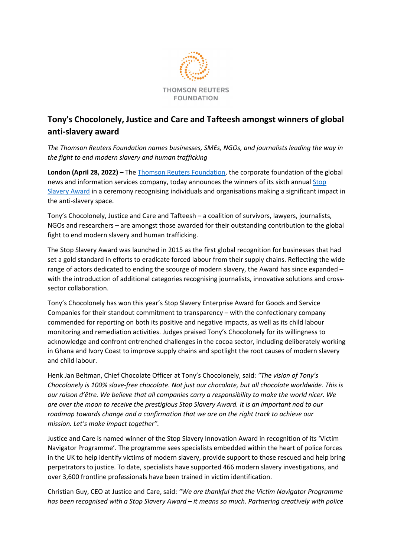

## **Tony's Chocolonely, Justice and Care and Tafteesh amongst winners of global anti-slavery award**

*The Thomson Reuters Foundation names businesses, SMEs, NGOs, and journalists leading the way in the fight to end modern slavery and human trafficking* 

**London (April 28, 2022)** – The [Thomson Reuters Foundation,](http://trust.org/) the corporate foundation of the global news and information services company, today announces the winners of its sixth annual Stop [Slavery Award](http://www.stopslaveryaward.com/) in a ceremony recognising individuals and organisations making a significant impact in the anti-slavery space.

Tony's Chocolonely, Justice and Care and Tafteesh – a coalition of survivors, lawyers, journalists, NGOs and researchers – are amongst those awarded for their outstanding contribution to the global fight to end modern slavery and human trafficking.

The Stop Slavery Award was launched in 2015 as the first global recognition for businesses that had set a gold standard in efforts to eradicate forced labour from their supply chains. Reflecting the wide range of actors dedicated to ending the scourge of modern slavery, the Award has since expanded – with the introduction of additional categories recognising journalists, innovative solutions and crosssector collaboration.

Tony's Chocolonely has won this year's Stop Slavery Enterprise Award for Goods and Service Companies for their standout commitment to transparency – with the confectionary company commended for reporting on both its positive and negative impacts, as well as its child labour monitoring and remediation activities. Judges praised Tony's Chocolonely for its willingness to acknowledge and confront entrenched challenges in the cocoa sector, including deliberately working in Ghana and Ivory Coast to improve supply chains and spotlight the root causes of modern slavery and child labour.

Henk Jan Beltman, Chief Chocolate Officer at Tony's Chocolonely, said: *"The vision of Tony's Chocolonely is 100% slave-free chocolate. Not just our chocolate, but all chocolate worldwide. This is our raison d'être. We believe that all companies carry a responsibility to make the world nicer. We are over the moon to receive the prestigious Stop Slavery Award. It is an important nod to our roadmap towards change and a confirmation that we are on the right track to achieve our mission. Let's make impact together".* 

Justice and Care is named winner of the Stop Slavery Innovation Award in recognition of its 'Victim Navigator Programme'. The programme sees specialists embedded within the heart of police forces in the UK to help identify victims of modern slavery, provide support to those rescued and help bring perpetrators to justice. To date, specialists have supported 466 modern slavery investigations, and over 3,600 frontline professionals have been trained in victim identification.

Christian Guy, CEO at Justice and Care, said: *"We are thankful that the Victim Navigator Programme has been recognised with a Stop Slavery Award – it means so much. Partnering creatively with police*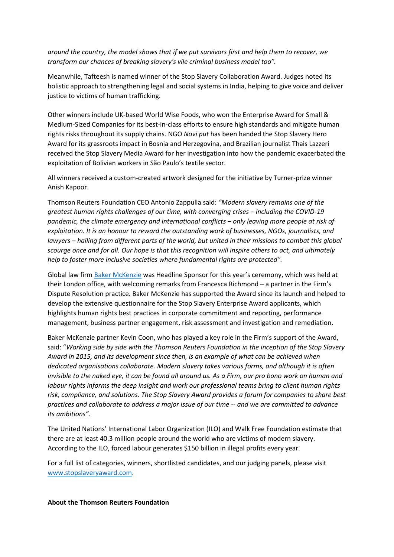*around the country, the model shows that if we put survivors first and help them to recover, we transform our chances of breaking slavery's vile criminal business model too".* 

Meanwhile, Tafteesh is named winner of the Stop Slavery Collaboration Award. Judges noted its holistic approach to strengthening legal and social systems in India, helping to give voice and deliver justice to victims of human trafficking.

Other winners include UK-based World Wise Foods, who won the Enterprise Award for Small & Medium-Sized Companies for its best-in-class efforts to ensure high standards and mitigate human rights risks throughout its supply chains. NGO *Novi put* has been handed the Stop Slavery Hero Award for its grassroots impact in Bosnia and Herzegovina, and Brazilian journalist Thais Lazzeri received the Stop Slavery Media Award for her investigation into how the pandemic exacerbated the exploitation of Bolivian workers in São Paulo's textile sector.

All winners received a custom-created artwork designed for the initiative by Turner-prize winner Anish Kapoor.

Thomson Reuters Foundation CEO Antonio Zappulla said: *"Modern slavery remains one of the greatest human rights challenges of our time, with converging crises – including the COVID-19 pandemic, the climate emergency and international conflicts – only leaving more people at risk of exploitation. It is an honour to reward the outstanding work of businesses, NGOs, journalists, and lawyers – hailing from different parts of the world, but united in their missions to combat this global scourge once and for all. Our hope is that this recognition will inspire others to act, and ultimately help to foster more inclusive societies where fundamental rights are protected".* 

Global law firm [Baker McKenzie](https://www.bakermckenzie.com/en) was Headline Sponsor for this year's ceremony, which was held at their London office, with welcoming remarks from Francesca Richmond – a partner in the Firm's Dispute Resolution practice. Baker McKenzie has supported the Award since its launch and helped to develop the extensive questionnaire for the Stop Slavery Enterprise Award applicants, which highlights human rights best practices in corporate commitment and reporting, performance management, business partner engagement, risk assessment and investigation and remediation.

Baker McKenzie partner Kevin Coon, who has played a key role in the Firm's support of the Award, said: "*Working side by side with the Thomson Reuters Foundation in the inception of the Stop Slavery Award in 2015, and its development since then, is an example of what can be achieved when dedicated organisations collaborate. Modern slavery takes various forms, and although it is often invisible to the naked eye, it can be found all around us. As a Firm, our pro bono work on human and labour rights informs the deep insight and work our professional teams bring to client human rights risk, compliance, and solutions. The Stop Slavery Award provides a forum for companies to share best practices and collaborate to address a major issue of our time -- and we are committed to advance its ambitions".*

The United Nations' International Labor Organization (ILO) and Walk Free Foundation estimate that there are at least 40.3 million people around the world who are victims of modern slavery. According to the ILO, forced labour generates \$150 billion in illegal profits every year.

For a full list of categories, winners, shortlisted candidates, and our judging panels, please visit [www.stopslaveryaward.com.](http://www.stopslaveryaward.com/)

## **About the Thomson Reuters Foundation**